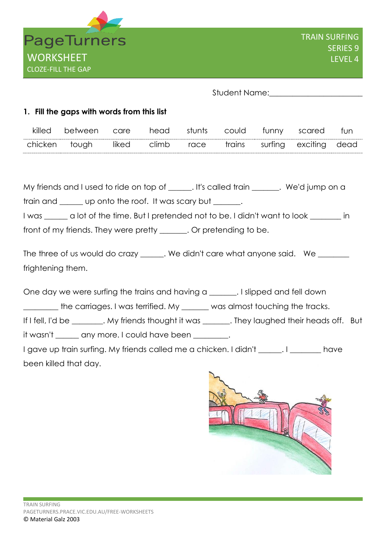

Student Name:

## **1. Fill the gaps with words from this list**

| killed  | between | care  | head  | stunts | could  | funny scared     | fun  |
|---------|---------|-------|-------|--------|--------|------------------|------|
| chicken | tough   | liked | climb | race   | trains | surfing exciting | dead |

My friends and I used to ride on top of \_\_\_\_\_\_. It's called train \_\_\_\_\_\_\_. We'd jump on a train and \_\_\_\_\_ up onto the roof. It was scary but \_\_\_\_\_\_\_. I was \_\_\_\_\_\_ a lot of the time. But I pretended not to be. I didn't want to look \_\_\_\_\_\_\_\_ in front of my friends. They were pretty \_\_\_\_\_\_. Or pretending to be.

The three of us would do crazy \_\_\_\_\_\_. We didn't care what anyone said. We \_\_\_\_\_\_ frightening them.

One day we were surfing the trains and having a \_\_\_\_\_\_\_. I slipped and fell down

\_\_\_\_\_\_\_\_\_ the carriages. I was terrified. My \_\_\_\_\_\_\_ was almost touching the tracks.

If I fell, I'd be \_\_\_\_\_\_\_\_. My friends thought it was \_\_\_\_\_\_\_. They laughed their heads off. But

it wasn't \_\_\_\_\_\_ any more. I could have been \_\_\_\_\_\_\_\_.

I gave up train surfing. My friends called me a chicken. I didn't \_\_\_\_\_\_. I \_\_\_\_\_\_\_\_ have been killed that day.